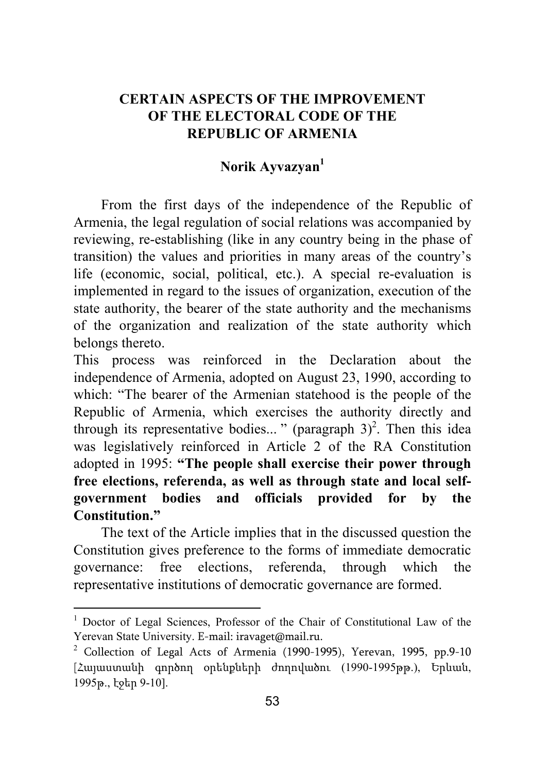## **CERTAIN ASPECTS OF THE IMPROVEMENT OF THE ELECTORAL CODE OF THE REPUBLIC OF ARMENIA**

## Norik Ayvazyan<sup>1</sup>

From the first days of the independence of the Republic of Armenia, the legal regulation of social relations was accompanied by reviewing, re-establishing (like in any country being in the phase of transition) the values and priorities in many areas of the country's life (economic, social, political, etc.). A special re-evaluation is implemented in regard to the issues of organization, execution of the state authority, the bearer of the state authority and the mechanisms of the organization and realization of the state authority which belongs thereto.

This process was reinforced in the Declaration about the independence of Armenia, adopted on August 23, 1990, according to which: "The bearer of the Armenian statehood is the people of the Republic of Armenia, which exercises the authority directly and through its representative bodies..." (paragraph  $3)^2$ . Then this idea was legislatively reinforced in Article 2 of the RA Constitution adopted in 1995: **"The people shall exercise their power through free elections, referenda, as well as through state and local selfgovernment bodies and officials provided for by the Constitution."**

The text of the Article implies that in the discussed question the Constitution gives preference to the forms of immediate democratic governance: free elections, referenda, through which the representative institutions of democratic governance are formed.

<sup>1</sup> Doctor of Legal Sciences, Professor of the Chair of Constitutional Law of the Yerevan State University. E-mail: iravaget@mail.ru.

<sup>2</sup> Collection of Legal Acts of Armenia (1990-1995), Yerevan, 1995, pp.9-10 [Հայաստանի գործող օրենքների ժողովածու (1990-1995թթ.), Երևան, 1995թ., էջեր 9-10].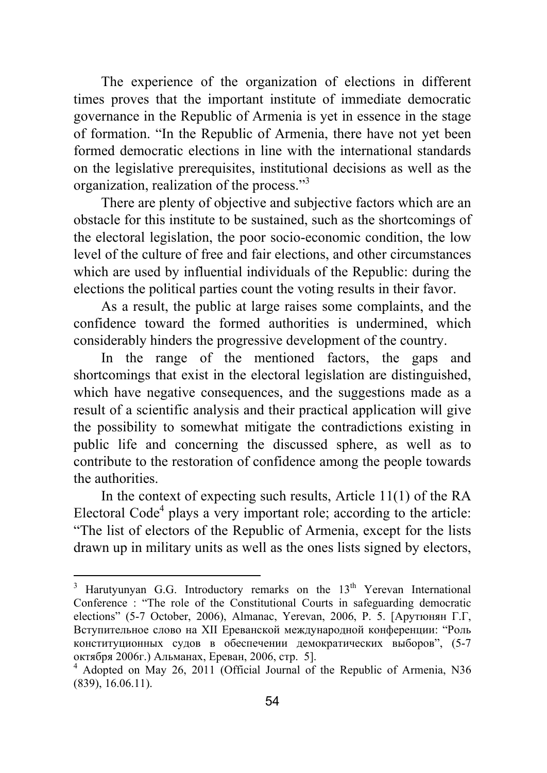The experience of the organization of elections in different times proves that the important institute of immediate democratic governance in the Republic of Armenia is yet in essence in the stage of formation. "In the Republic of Armenia, there have not yet been formed democratic elections in line with the international standards on the legislative prerequisites, institutional decisions as well as the organization, realization of the process."<sup>3</sup>

There are plenty of objective and subjective factors which are an obstacle for this institute to be sustained, such as the shortcomings of the electoral legislation, the poor socio-economic condition, the low level of the culture of free and fair elections, and other circumstances which are used by influential individuals of the Republic: during the elections the political parties count the voting results in their favor.

As a result, the public at large raises some complaints, and the confidence toward the formed authorities is undermined, which considerably hinders the progressive development of the country.

In the range of the mentioned factors, the gaps and shortcomings that exist in the electoral legislation are distinguished, which have negative consequences, and the suggestions made as a result of a scientific analysis and their practical application will give the possibility to somewhat mitigate the contradictions existing in public life and concerning the discussed sphere, as well as to contribute to the restoration of confidence among the people towards the authorities.

In the context of expecting such results, Article 11(1) of the RA Electoral Code<sup>4</sup> plays a very important role; according to the article: "The list of electors of the Republic of Armenia, except for the lists drawn up in military units as well as the ones lists signed by electors,

<sup>&</sup>lt;sup>3</sup> Harutyunyan G.G. Introductory remarks on the 13<sup>th</sup> Yerevan International Conference : "The role of the Constitutional Courts in safeguarding democratic elections" (5-7 October, 2006), Almanac, Yerevan, 2006, P. 5. [Арутюнян Г.Г, Вступительное слово на XII Ереванской международной конференции: "Роль конституционных судов в обеспечении демократических выборов", (5-7 октября 2006г.) Альманах, Ереван, 2006, стр. 5]. <sup>4</sup>

<sup>&</sup>lt;sup>4</sup> Adopted on May 26, 2011 (Official Journal of the Republic of Armenia, N36 (839), 16.06.11).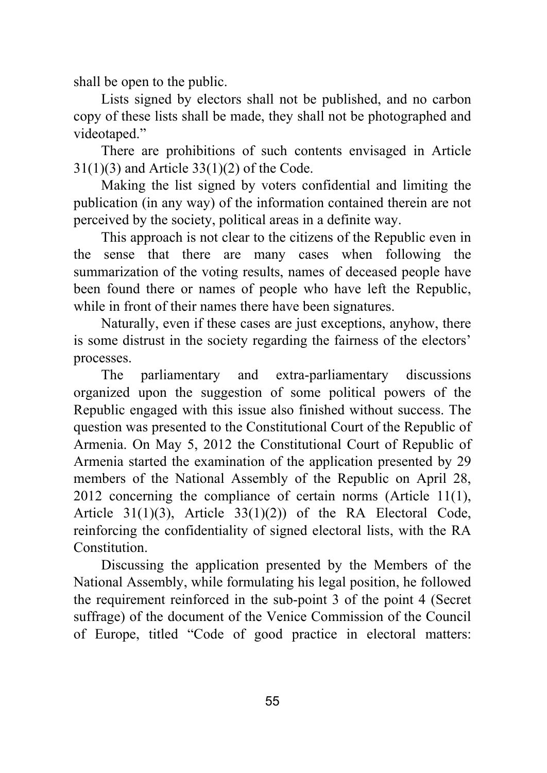shall be open to the public.

Lists signed by electors shall not be published, and no carbon copy of these lists shall be made, they shall not be photographed and videotaped."

There are prohibitions of such contents envisaged in Article 31(1)(3) and Article 33(1)(2) of the Code.

Making the list signed by voters confidential and limiting the publication (in any way) of the information contained therein are not perceived by the society, political areas in a definite way.

This approach is not clear to the citizens of the Republic even in the sense that there are many cases when following the summarization of the voting results, names of deceased people have been found there or names of people who have left the Republic, while in front of their names there have been signatures.

Naturally, even if these cases are just exceptions, anyhow, there is some distrust in the society regarding the fairness of the electors' processes.

The parliamentary and extra-parliamentary discussions organized upon the suggestion of some political powers of the Republic engaged with this issue also finished without success. The question was presented to the Constitutional Court of the Republic of Armenia. On May 5, 2012 the Constitutional Court of Republic of Armenia started the examination of the application presented by 29 members of the National Assembly of the Republic on April 28, 2012 concerning the compliance of certain norms (Article 11(1), Article 31(1)(3), Article 33(1)(2)) of the RA Electoral Code, reinforcing the confidentiality of signed electoral lists, with the RA Constitution.

Discussing the application presented by the Members of the National Assembly, while formulating his legal position, he followed the requirement reinforced in the sub-point 3 of the point 4 (Secret suffrage) of the document of the Venice Commission of the Council of Europe, titled "Code of good practice in electoral matters: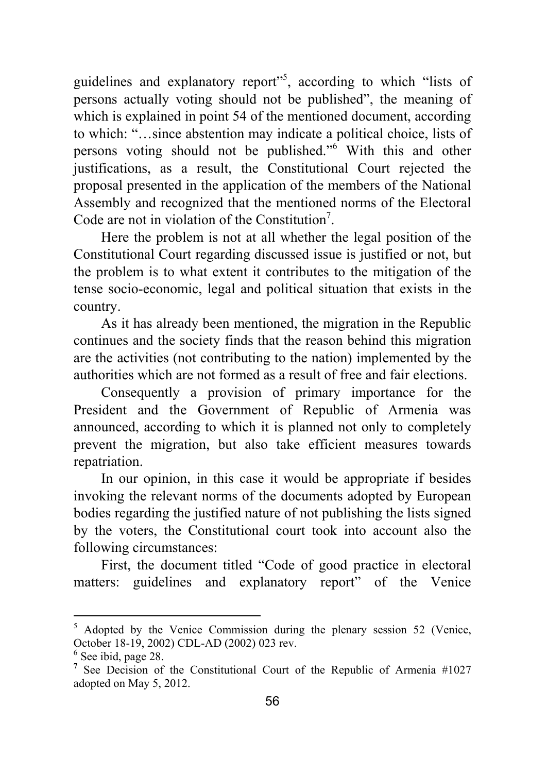guidelines and explanatory report<sup>155</sup>, according to which "lists of persons actually voting should not be published", the meaning of which is explained in point 54 of the mentioned document, according to which: "…since abstention may indicate a political choice, lists of persons voting should not be published."<sup>6</sup> With this and other justifications, as a result, the Constitutional Court rejected the proposal presented in the application of the members of the National Assembly and recognized that the mentioned norms of the Electoral Code are not in violation of the Constitution<sup>7</sup>.

Here the problem is not at all whether the legal position of the Constitutional Court regarding discussed issue is justified or not, but the problem is to what extent it contributes to the mitigation of the tense socio-economic, legal and political situation that exists in the country.

As it has already been mentioned, the migration in the Republic continues and the society finds that the reason behind this migration are the activities (not contributing to the nation) implemented by the authorities which are not formed as a result of free and fair elections.

Consequently a provision of primary importance for the President and the Government of Republic of Armenia was announced, according to which it is planned not only to completely prevent the migration, but also take efficient measures towards repatriation.

In our opinion, in this case it would be appropriate if besides invoking the relevant norms of the documents adopted by European bodies regarding the justified nature of not publishing the lists signed by the voters, the Constitutional court took into account also the following circumstances:

First, the document titled "Code of good practice in electoral matters: guidelines and explanatory report" of the Venice

<sup>&</sup>lt;sup>5</sup> Adopted by the Venice Commission during the plenary session 52 (Venice, October 18-19, 2002) CDL-AD (2002) 023 rev.

<sup>6</sup> See ibid, page 28.

<sup>&</sup>lt;sup>7</sup> See Decision of the Constitutional Court of the Republic of Armenia #1027 adopted on May 5, 2012.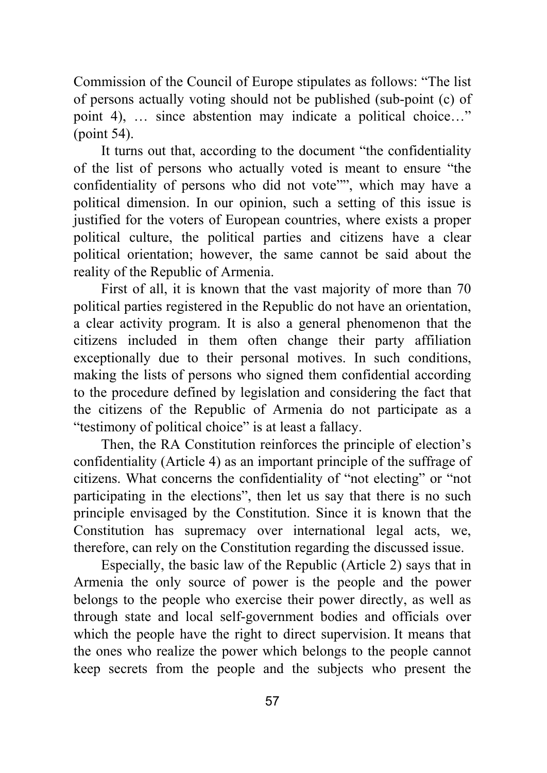Commission of the Council of Europe stipulates as follows: "The list of persons actually voting should not be published (sub-point (c) of point 4), … since abstention may indicate a political choice…" (point 54).

It turns out that, according to the document "the confidentiality of the list of persons who actually voted is meant to ensure "the confidentiality of persons who did not vote"", which may have a political dimension. In our opinion, such a setting of this issue is justified for the voters of European countries, where exists a proper political culture, the political parties and citizens have a clear political orientation; however, the same cannot be said about the reality of the Republic of Armenia.

First of all, it is known that the vast majority of more than 70 political parties registered in the Republic do not have an orientation, a clear activity program. It is also a general phenomenon that the citizens included in them often change their party affiliation exceptionally due to their personal motives. In such conditions, making the lists of persons who signed them confidential according to the procedure defined by legislation and considering the fact that the citizens of the Republic of Armenia do not participate as a "testimony of political choice" is at least a fallacy.

Then, the RA Constitution reinforces the principle of election's confidentiality (Article 4) as an important principle of the suffrage of citizens. What concerns the confidentiality of "not electing" or "not participating in the elections", then let us say that there is no such principle envisaged by the Constitution. Since it is known that the Constitution has supremacy over international legal acts, we, therefore, can rely on the Constitution regarding the discussed issue.

Especially, the basic law of the Republic (Article 2) says that in Armenia the only source of power is the people and the power belongs to the people who exercise their power directly, as well as through state and local self-government bodies and officials over which the people have the right to direct supervision. It means that the ones who realize the power which belongs to the people cannot keep secrets from the people and the subjects who present the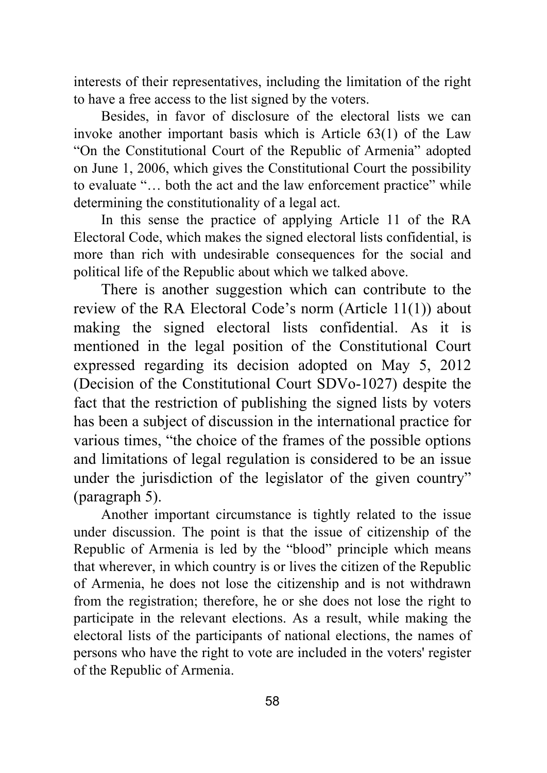interests of their representatives, including the limitation of the right to have a free access to the list signed by the voters.

Besides, in favor of disclosure of the electoral lists we can invoke another important basis which is Article 63(1) of the Law "On the Constitutional Court of the Republic of Armenia" adopted on June 1, 2006, which gives the Constitutional Court the possibility to evaluate "… both the act and the law enforcement practice" while determining the constitutionality of a legal act.

In this sense the practice of applying Article 11 of the RA Electoral Code, which makes the signed electoral lists confidential, is more than rich with undesirable consequences for the social and political life of the Republic about which we talked above.

There is another suggestion which can contribute to the review of the RA Electoral Code's norm (Article 11(1)) about making the signed electoral lists confidential. As it is mentioned in the legal position of the Constitutional Court expressed regarding its decision adopted on May 5, 2012 (Decision of the Constitutional Court SDVo-1027) despite the fact that the restriction of publishing the signed lists by voters has been a subject of discussion in the international practice for various times, "the choice of the frames of the possible options and limitations of legal regulation is considered to be an issue under the jurisdiction of the legislator of the given country" (paragraph 5).

Another important circumstance is tightly related to the issue under discussion. The point is that the issue of citizenship of the Republic of Armenia is led by the "blood" principle which means that wherever, in which country is or lives the citizen of the Republic of Armenia, he does not lose the citizenship and is not withdrawn from the registration; therefore, he or she does not lose the right to participate in the relevant elections. As a result, while making the electoral lists of the participants of national elections, the names of persons who have the right to vote are included in the voters' register of the Republic of Armenia.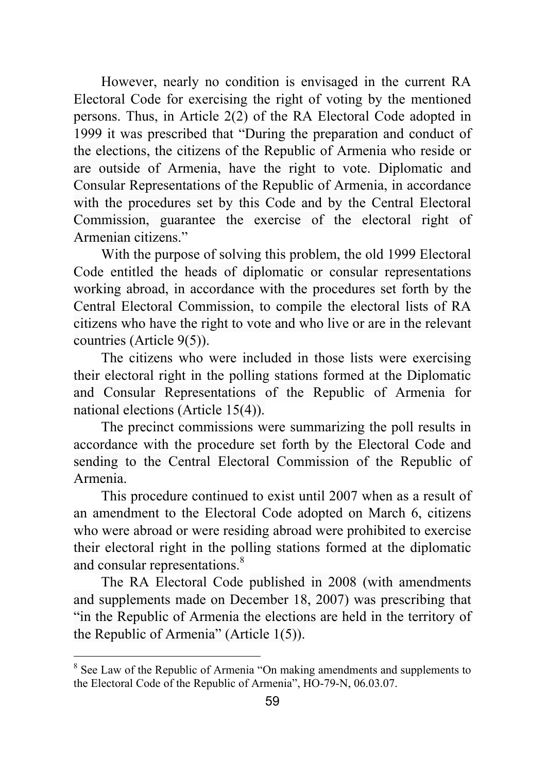However, nearly no condition is envisaged in the current RA Electoral Code for exercising the right of voting by the mentioned persons. Thus, in Article 2(2) of the RA Electoral Code adopted in 1999 it was prescribed that "During the preparation and conduct of the elections, the citizens of the Republic of Armenia who reside or are outside of Armenia, have the right to vote. Diplomatic and Consular Representations of the Republic of Armenia, in accordance with the procedures set by this Code and by the Central Electoral Commission, guarantee the exercise of the electoral right of Armenian citizens."

With the purpose of solving this problem, the old 1999 Electoral Code entitled the heads of diplomatic or consular representations working abroad, in accordance with the procedures set forth by the Central Electoral Commission, to compile the electoral lists of RA citizens who have the right to vote and who live or are in the relevant countries (Article 9(5)).

The citizens who were included in those lists were exercising their electoral right in the polling stations formed at the Diplomatic and Consular Representations of the Republic of Armenia for national elections (Article 15(4)).

The precinct commissions were summarizing the poll results in accordance with the procedure set forth by the Electoral Code and sending to the Central Electoral Commission of the Republic of Armenia.

This procedure continued to exist until 2007 when as a result of an amendment to the Electoral Code adopted on March 6, citizens who were abroad or were residing abroad were prohibited to exercise their electoral right in the polling stations formed at the diplomatic and consular representations.<sup>8</sup>

The RA Electoral Code published in 2008 (with amendments and supplements made on December 18, 2007) was prescribing that "in the Republic of Armenia the elections are held in the territory of the Republic of Armenia" (Article 1(5)).

<sup>&</sup>lt;sup>8</sup> See Law of the Republic of Armenia "On making amendments and supplements to the Electoral Code of the Republic of Armenia", HO-79-N, 06.03.07.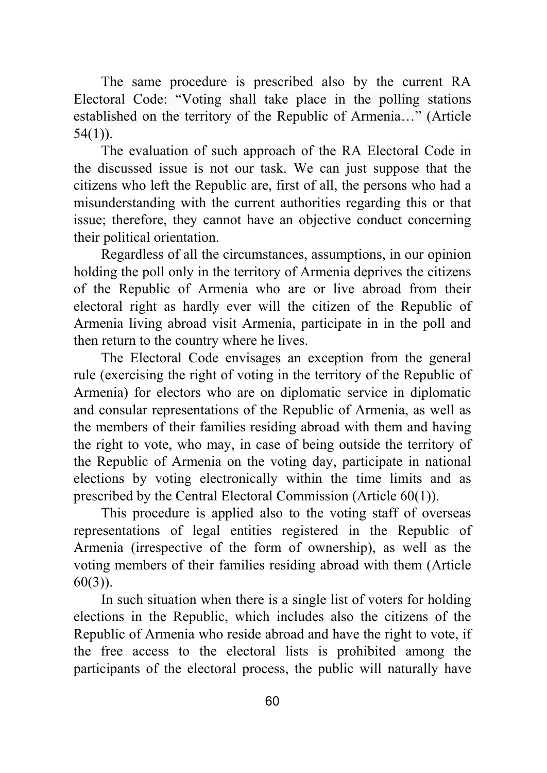The same procedure is prescribed also by the current RA Electoral Code: "Voting shall take place in the polling stations established on the territory of the Republic of Armenia…" (Article 54(1)).

The evaluation of such approach of the RA Electoral Code in the discussed issue is not our task. We can just suppose that the citizens who left the Republic are, first of all, the persons who had a misunderstanding with the current authorities regarding this or that issue; therefore, they cannot have an objective conduct concerning their political orientation.

Regardless of all the circumstances, assumptions, in our opinion holding the poll only in the territory of Armenia deprives the citizens of the Republic of Armenia who are or live abroad from their electoral right as hardly ever will the citizen of the Republic of Armenia living abroad visit Armenia, participate in in the poll and then return to the country where he lives.

The Electoral Code envisages an exception from the general rule (exercising the right of voting in the territory of the Republic of Armenia) for electors who are on diplomatic service in diplomatic and consular representations of the Republic of Armenia, as well as the members of their families residing abroad with them and having the right to vote, who may, in case of being outside the territory of the Republic of Armenia on the voting day, participate in national elections by voting electronically within the time limits and as prescribed by the Central Electoral Commission (Article 60(1)).

This procedure is applied also to the voting staff of overseas representations of legal entities registered in the Republic of Armenia (irrespective of the form of ownership), as well as the voting members of their families residing abroad with them (Article 60(3)).

In such situation when there is a single list of voters for holding elections in the Republic, which includes also the citizens of the Republic of Armenia who reside abroad and have the right to vote, if the free access to the electoral lists is prohibited among the participants of the electoral process, the public will naturally have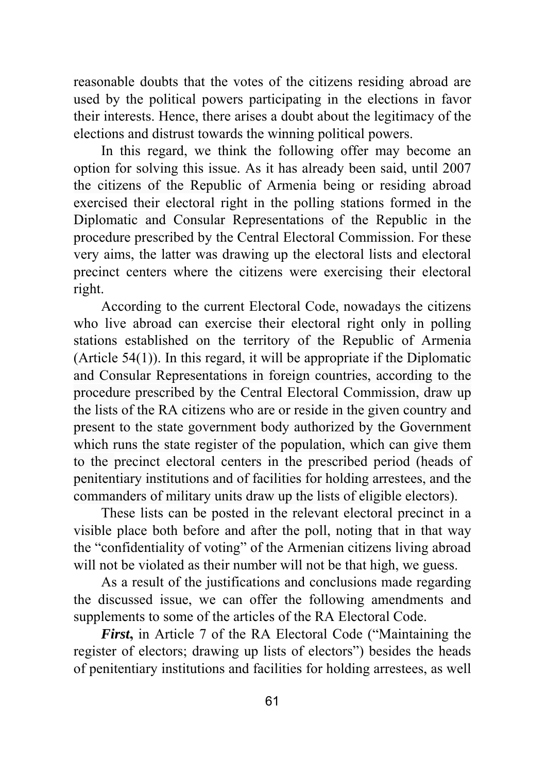reasonable doubts that the votes of the citizens residing abroad are used by the political powers participating in the elections in favor their interests. Hence, there arises a doubt about the legitimacy of the elections and distrust towards the winning political powers.

In this regard, we think the following offer may become an option for solving this issue. As it has already been said, until 2007 the citizens of the Republic of Armenia being or residing abroad exercised their electoral right in the polling stations formed in the Diplomatic and Consular Representations of the Republic in the procedure prescribed by the Central Electoral Commission. For these very aims, the latter was drawing up the electoral lists and electoral precinct centers where the citizens were exercising their electoral right.

According to the current Electoral Code, nowadays the citizens who live abroad can exercise their electoral right only in polling stations established on the territory of the Republic of Armenia (Article 54(1)). In this regard, it will be appropriate if the Diplomatic and Consular Representations in foreign countries, according to the procedure prescribed by the Central Electoral Commission, draw up the lists of the RA citizens who are or reside in the given country and present to the state government body authorized by the Government which runs the state register of the population, which can give them to the precinct electoral centers in the prescribed period (heads of penitentiary institutions and of facilities for holding arrestees, and the commanders of military units draw up the lists of eligible electors).

These lists can be posted in the relevant electoral precinct in a visible place both before and after the poll, noting that in that way the "confidentiality of voting" of the Armenian citizens living abroad will not be violated as their number will not be that high, we guess.

As a result of the justifications and conclusions made regarding the discussed issue, we can offer the following amendments and supplements to some of the articles of the RA Electoral Code.

*First***,** in Article 7 of the RA Electoral Code ("Maintaining the register of electors; drawing up lists of electors") besides the heads of penitentiary institutions and facilities for holding arrestees, as well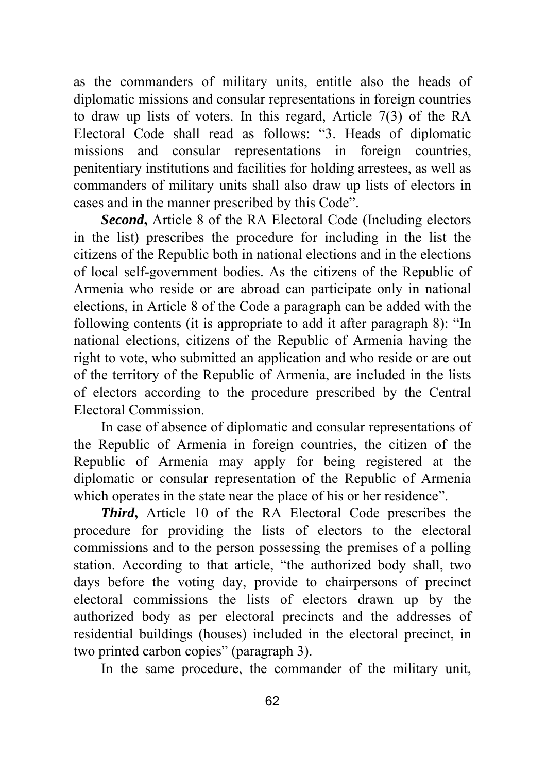as the commanders of military units, entitle also the heads of diplomatic missions and consular representations in foreign countries to draw up lists of voters. In this regard, Article 7(3) of the RA Electoral Code shall read as follows: "3. Heads of diplomatic missions and consular representations in foreign countries, penitentiary institutions and facilities for holding arrestees, as well as commanders of military units shall also draw up lists of electors in cases and in the manner prescribed by this Code".

*Second***,** Article 8 of the RA Electoral Code (Including electors in the list) prescribes the procedure for including in the list the citizens of the Republic both in national elections and in the elections of local self-government bodies. As the citizens of the Republic of Armenia who reside or are abroad can participate only in national elections, in Article 8 of the Code a paragraph can be added with the following contents (it is appropriate to add it after paragraph 8): "In national elections, citizens of the Republic of Armenia having the right to vote, who submitted an application and who reside or are out of the territory of the Republic of Armenia, are included in the lists of electors according to the procedure prescribed by the Central Electoral Commission.

In case of absence of diplomatic and consular representations of the Republic of Armenia in foreign countries, the citizen of the Republic of Armenia may apply for being registered at the diplomatic or consular representation of the Republic of Armenia which operates in the state near the place of his or her residence".

*Third***,** Article 10 of the RA Electoral Code prescribes the procedure for providing the lists of electors to the electoral commissions and to the person possessing the premises of a polling station. According to that article, "the authorized body shall, two days before the voting day, provide to chairpersons of precinct electoral commissions the lists of electors drawn up by the authorized body as per electoral precincts and the addresses of residential buildings (houses) included in the electoral precinct, in two printed carbon copies" (paragraph 3).

In the same procedure, the commander of the military unit,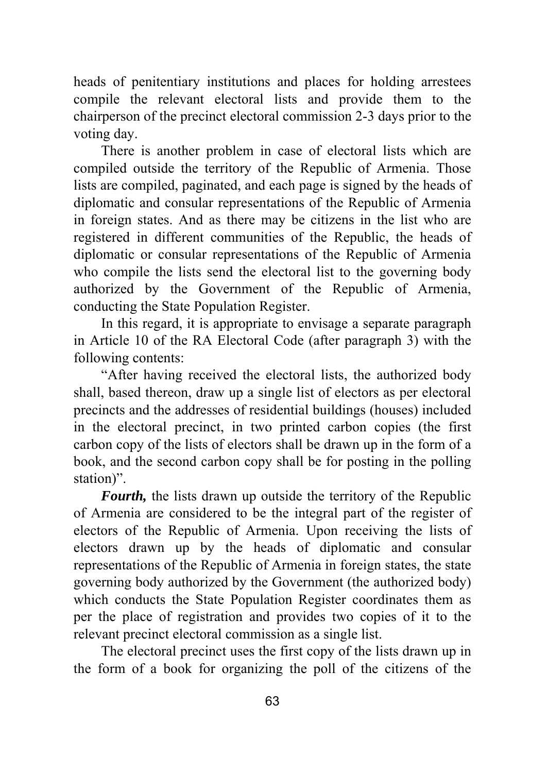heads of penitentiary institutions and places for holding arrestees compile the relevant electoral lists and provide them to the chairperson of the precinct electoral commission 2-3 days prior to the voting day.

There is another problem in case of electoral lists which are compiled outside the territory of the Republic of Armenia. Those lists are compiled, paginated, and each page is signed by the heads of diplomatic and consular representations of the Republic of Armenia in foreign states. And as there may be citizens in the list who are registered in different communities of the Republic, the heads of diplomatic or consular representations of the Republic of Armenia who compile the lists send the electoral list to the governing body authorized by the Government of the Republic of Armenia, conducting the State Population Register.

In this regard, it is appropriate to envisage a separate paragraph in Article 10 of the RA Electoral Code (after paragraph 3) with the following contents:

"After having received the electoral lists, the authorized body shall, based thereon, draw up a single list of electors as per electoral precincts and the addresses of residential buildings (houses) included in the electoral precinct, in two printed carbon copies (the first carbon copy of the lists of electors shall be drawn up in the form of a book, and the second carbon copy shall be for posting in the polling station)".

*Fourth,* the lists drawn up outside the territory of the Republic of Armenia are considered to be the integral part of the register of electors of the Republic of Armenia. Upon receiving the lists of electors drawn up by the heads of diplomatic and consular representations of the Republic of Armenia in foreign states, the state governing body authorized by the Government (the authorized body) which conducts the State Population Register coordinates them as per the place of registration and provides two copies of it to the relevant precinct electoral commission as a single list.

The electoral precinct uses the first copy of the lists drawn up in the form of a book for organizing the poll of the citizens of the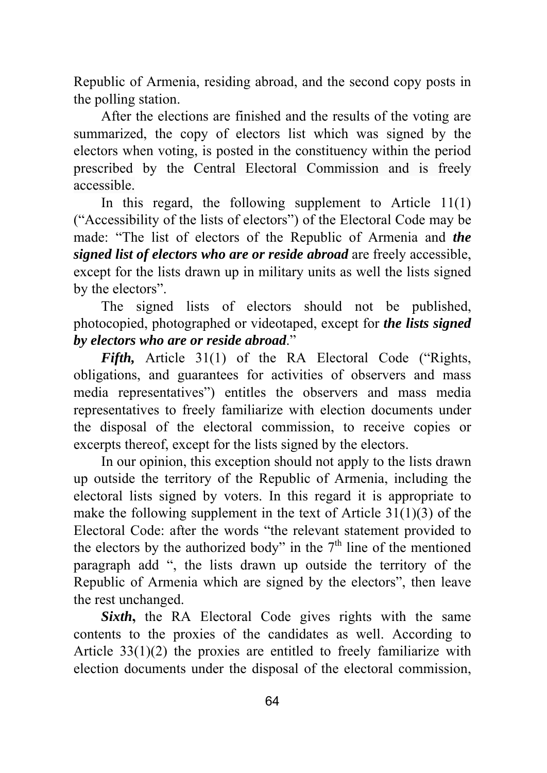Republic of Armenia, residing abroad, and the second copy posts in the polling station.

After the elections are finished and the results of the voting are summarized, the copy of electors list which was signed by the electors when voting, is posted in the constituency within the period prescribed by the Central Electoral Commission and is freely accessible.

In this regard, the following supplement to Article  $11(1)$ ("Accessibility of the lists of electors") of the Electoral Code may be made: "The list of electors of the Republic of Armenia and *the signed list of electors who are or reside abroad* are freely accessible, except for the lists drawn up in military units as well the lists signed by the electors".

The signed lists of electors should not be published, photocopied, photographed or videotaped, except for *the lists signed by electors who are or reside abroad*."

*Fifth,* Article 31(1) of the RA Electoral Code ("Rights, obligations, and guarantees for activities of observers and mass media representatives") entitles the observers and mass media representatives to freely familiarize with election documents under the disposal of the electoral commission, to receive copies or excerpts thereof, except for the lists signed by the electors.

In our opinion, this exception should not apply to the lists drawn up outside the territory of the Republic of Armenia, including the electoral lists signed by voters. In this regard it is appropriate to make the following supplement in the text of Article 31(1)(3) of the Electoral Code: after the words "the relevant statement provided to the electors by the authorized body" in the  $7<sup>th</sup>$  line of the mentioned paragraph add ", the lists drawn up outside the territory of the Republic of Armenia which are signed by the electors", then leave the rest unchanged.

**Sixth**, the RA Electoral Code gives rights with the same contents to the proxies of the candidates as well. According to Article 33(1)(2) the proxies are entitled to freely familiarize with election documents under the disposal of the electoral commission,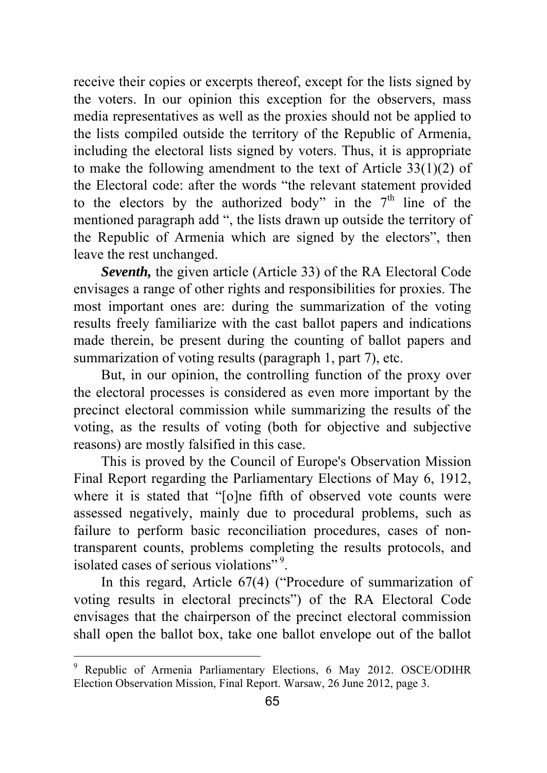receive their copies or excerpts thereof, except for the lists signed by the voters. In our opinion this exception for the observers, mass media representatives as well as the proxies should not be applied to the lists compiled outside the territory of the Republic of Armenia, including the electoral lists signed by voters. Thus, it is appropriate to make the following amendment to the text of Article 33(1)(2) of the Electoral code: after the words "the relevant statement provided to the electors by the authorized body" in the  $7<sup>th</sup>$  line of the mentioned paragraph add ", the lists drawn up outside the territory of the Republic of Armenia which are signed by the electors", then leave the rest unchanged.

*Seventh,* the given article (Article 33) of the RA Electoral Code envisages a range of other rights and responsibilities for proxies. The most important ones are: during the summarization of the voting results freely familiarize with the cast ballot papers and indications made therein, be present during the counting of ballot papers and summarization of voting results (paragraph 1, part 7), etc.

But, in our opinion, the controlling function of the proxy over the electoral processes is considered as even more important by the precinct electoral commission while summarizing the results of the voting, as the results of voting (both for objective and subjective reasons) are mostly falsified in this case.

This is proved by the Council of Europe's Observation Mission Final Report regarding the Parliamentary Elections of May 6, 1912, where it is stated that "[o]ne fifth of observed vote counts were assessed negatively, mainly due to procedural problems, such as failure to perform basic reconciliation procedures, cases of nontransparent counts, problems completing the results protocols, and isolated cases of serious violations" 9.

In this regard, Article 67(4) ("Procedure of summarization of voting results in electoral precincts") of the RA Electoral Code envisages that the chairperson of the precinct electoral commission shall open the ballot box, take one ballot envelope out of the ballot

 9 Republic of Armenia Parliamentary Elections, 6 May 2012. OSCE/ODIHR Election Observation Mission, Final Report. Warsaw, 26 June 2012, page 3.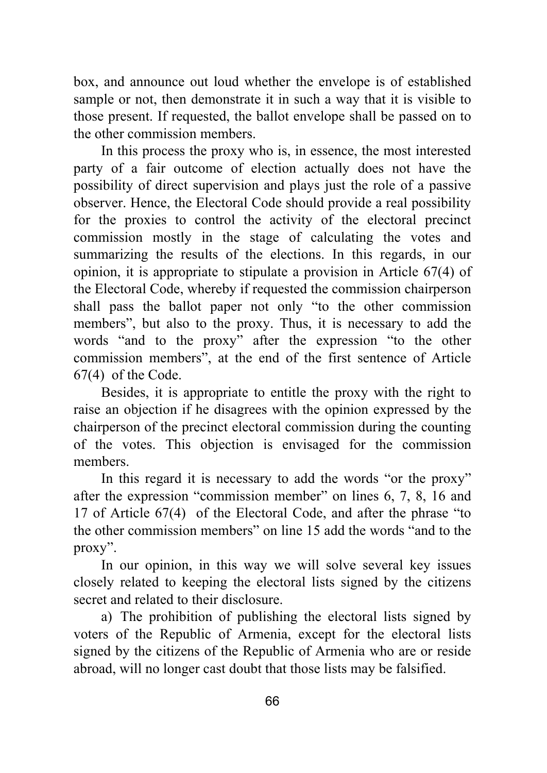box, and announce out loud whether the envelope is of established sample or not, then demonstrate it in such a way that it is visible to those present. If requested, the ballot envelope shall be passed on to the other commission members.

In this process the proxy who is, in essence, the most interested party of a fair outcome of election actually does not have the possibility of direct supervision and plays just the role of a passive observer. Hence, the Electoral Code should provide a real possibility for the proxies to control the activity of the electoral precinct commission mostly in the stage of calculating the votes and summarizing the results of the elections. In this regards, in our opinion, it is appropriate to stipulate a provision in Article 67(4) of the Electoral Code, whereby if requested the commission chairperson shall pass the ballot paper not only "to the other commission members", but also to the proxy. Thus, it is necessary to add the words "and to the proxy" after the expression "to the other commission members", at the end of the first sentence of Article 67(4) of the Code.

Besides, it is appropriate to entitle the proxy with the right to raise an objection if he disagrees with the opinion expressed by the chairperson of the precinct electoral commission during the counting of the votes. This objection is envisaged for the commission members.

In this regard it is necessary to add the words "or the proxy" after the expression "commission member" on lines 6, 7, 8, 16 and 17 of Article 67(4) of the Electoral Code, and after the phrase "to the other commission members" on line 15 add the words "and to the proxy".

In our opinion, in this way we will solve several key issues closely related to keeping the electoral lists signed by the citizens secret and related to their disclosure.

a) The prohibition of publishing the electoral lists signed by voters of the Republic of Armenia, except for the electoral lists signed by the citizens of the Republic of Armenia who are or reside abroad, will no longer cast doubt that those lists may be falsified.